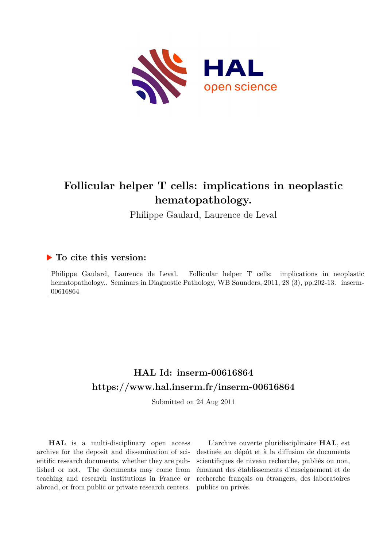

# **Follicular helper T cells: implications in neoplastic hematopathology.**

Philippe Gaulard, Laurence de Leval

## **To cite this version:**

Philippe Gaulard, Laurence de Leval. Follicular helper T cells: implications in neoplastic hematopathology.. Seminars in Diagnostic Pathology, WB Saunders, 2011, 28 (3), pp.202-13. inserm-00616864

## **HAL Id: inserm-00616864 <https://www.hal.inserm.fr/inserm-00616864>**

Submitted on 24 Aug 2011

**HAL** is a multi-disciplinary open access archive for the deposit and dissemination of scientific research documents, whether they are published or not. The documents may come from teaching and research institutions in France or abroad, or from public or private research centers.

L'archive ouverte pluridisciplinaire **HAL**, est destinée au dépôt et à la diffusion de documents scientifiques de niveau recherche, publiés ou non, émanant des établissements d'enseignement et de recherche français ou étrangers, des laboratoires publics ou privés.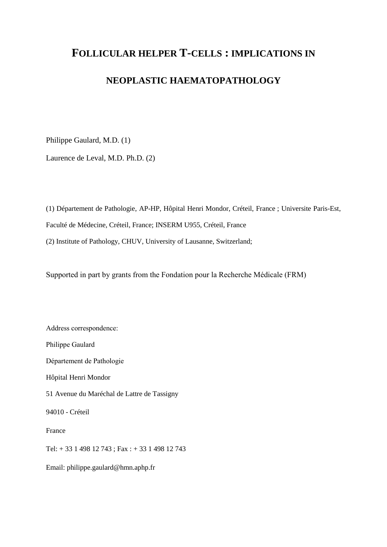## **FOLLICULAR HELPER T-CELLS : IMPLICATIONS IN**

## **NEOPLASTIC HAEMATOPATHOLOGY**

Philippe Gaulard, M.D. (1)

Laurence de Leval, M.D. Ph.D. (2)

(1) Département de Pathologie, AP-HP, Hôpital Henri Mondor, Créteil, France ; Universite Paris-Est, Faculté de Médecine, Créteil, France; INSERM U955, Créteil, France (2) Institute of Pathology, CHUV, University of Lausanne, Switzerland;

Supported in part by grants from the Fondation pour la Recherche Médicale (FRM)

Address correspondence: Philippe Gaulard Département de Pathologie Hôpital Henri Mondor 51 Avenue du Maréchal de Lattre de Tassigny 94010 - Créteil France Tel: + 33 1 498 12 743 ; Fax : + 33 1 498 12 743 Email: philippe.gaulard@hmn.aphp.fr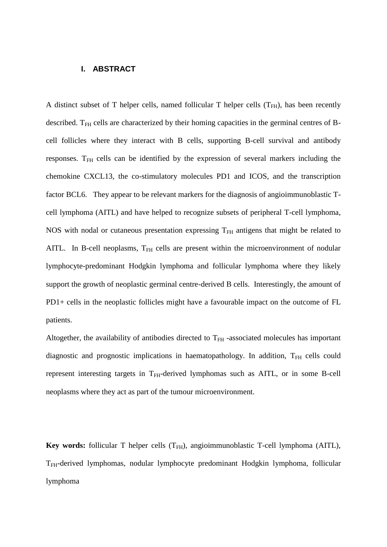## **I. ABSTRACT**

A distinct subset of T helper cells, named follicular T helper cells  $(T<sub>FH</sub>)$ , has been recently described. T<sub>FH</sub> cells are characterized by their homing capacities in the germinal centres of Bcell follicles where they interact with B cells, supporting B-cell survival and antibody responses.  $T<sub>FH</sub>$  cells can be identified by the expression of several markers including the chemokine CXCL13, the co-stimulatory molecules PD1 and ICOS, and the transcription factor BCL6. They appear to be relevant markers for the diagnosis of angioimmunoblastic Tcell lymphoma (AITL) and have helped to recognize subsets of peripheral T-cell lymphoma, NOS with nodal or cutaneous presentation expressing  $T<sub>FH</sub>$  antigens that might be related to AITL. In B-cell neoplasms,  $T<sub>FH</sub>$  cells are present within the microenvironment of nodular lymphocyte-predominant Hodgkin lymphoma and follicular lymphoma where they likely support the growth of neoplastic germinal centre-derived B cells. Interestingly, the amount of PD1+ cells in the neoplastic follicles might have a favourable impact on the outcome of FL patients.

Altogether, the availability of antibodies directed to  $T<sub>FH</sub>$  -associated molecules has important diagnostic and prognostic implications in haematopathology. In addition,  $T<sub>FH</sub>$  cells could represent interesting targets in T<sub>FH</sub>-derived lymphomas such as AITL, or in some B-cell neoplasms where they act as part of the tumour microenvironment.

**Key words:** follicular T helper cells (T<sub>FH</sub>), angioimmunoblastic T-cell lymphoma (AITL), T<sub>FH</sub>-derived lymphomas, nodular lymphocyte predominant Hodgkin lymphoma, follicular lymphoma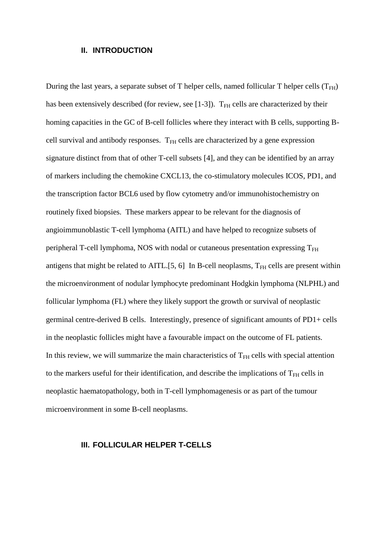### **II. INTRODUCTION**

During the last years, a separate subset of T helper cells, named follicular T helper cells  $(T<sub>FH</sub>)$ has been extensively described (for review, see [\[1-3\]](#page-18-0)).  $T<sub>FH</sub>$  cells are characterized by their homing capacities in the GC of B-cell follicles where they interact with B cells, supporting Bcell survival and antibody responses.  $T<sub>FH</sub>$  cells are characterized by a gene expression signature distinct from that of other T-cell subsets [\[4\]](#page-18-1), and they can be identified by an array of markers including the chemokine CXCL13, the co-stimulatory molecules ICOS, PD1, and the transcription factor BCL6 used by flow cytometry and/or immunohistochemistry on routinely fixed biopsies. These markers appear to be relevant for the diagnosis of angioimmunoblastic T-cell lymphoma (AITL) and have helped to recognize subsets of peripheral T-cell lymphoma, NOS with nodal or cutaneous presentation expressing  $T_{FH}$ antigens that might be related to AITL.[\[5,](#page-18-2) [6\]](#page-18-3) In B-cell neoplasms,  $T_{FH}$  cells are present within the microenvironment of nodular lymphocyte predominant Hodgkin lymphoma (NLPHL) and follicular lymphoma (FL) where they likely support the growth or survival of neoplastic germinal centre-derived B cells. Interestingly, presence of significant amounts of PD1+ cells in the neoplastic follicles might have a favourable impact on the outcome of FL patients. In this review, we will summarize the main characteristics of  $T<sub>FH</sub>$  cells with special attention to the markers useful for their identification, and describe the implications of  $T<sub>FH</sub>$  cells in neoplastic haematopathology, both in T-cell lymphomagenesis or as part of the tumour microenvironment in some B-cell neoplasms.

### **III. FOLLICULAR HELPER T-CELLS**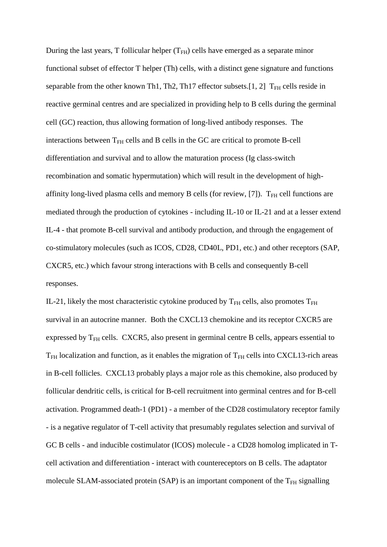During the last years, T follicular helper  $(T<sub>FH</sub>)$  cells have emerged as a separate minor functional subset of effector T helper (Th) cells, with a distinct gene signature and functions separable from the other known Th1, Th2, Th17 effector subsets.[\[1,](#page-18-0) [2\]](#page-18-4)  $T<sub>FH</sub>$  cells reside in reactive germinal centres and are specialized in providing help to B cells during the germinal cell (GC) reaction, thus allowing formation of long-lived antibody responses. The interactions between  $T<sub>FH</sub>$  cells and B cells in the GC are critical to promote B-cell differentiation and survival and to allow the maturation process (Ig class-switch recombination and somatic hypermutation) which will result in the development of highaffinity long-lived plasma cells and memory B cells (for review,  $[7]$ ).  $T<sub>FH</sub>$  cell functions are mediated through the production of cytokines - including IL-10 or IL-21 and at a lesser extend IL-4 - that promote B-cell survival and antibody production, and through the engagement of co-stimulatory molecules (such as ICOS, CD28, CD40L, PD1, etc.) and other receptors (SAP, CXCR5, etc.) which favour strong interactions with B cells and consequently B-cell responses.

IL-21, likely the most characteristic cytokine produced by  $T_{FH}$  cells, also promotes  $T_{FH}$ survival in an autocrine manner. Both the CXCL13 chemokine and its receptor CXCR5 are expressed by  $T<sub>FH</sub>$  cells. CXCR5, also present in germinal centre B cells, appears essential to  $T<sub>FH</sub>$  localization and function, as it enables the migration of  $T<sub>FH</sub>$  cells into CXCL13-rich areas in B-cell follicles. CXCL13 probably plays a major role as this chemokine, also produced by follicular dendritic cells, is critical for B-cell recruitment into germinal centres and for B-cell activation. Programmed death-1 (PD1) - a member of the CD28 costimulatory receptor family - is a negative regulator of T-cell activity that presumably regulates selection and survival of GC B cells - and inducible costimulator (ICOS) molecule - a CD28 homolog implicated in Tcell activation and differentiation - interact with countereceptors on B cells. The adaptator molecule SLAM-associated protein (SAP) is an important component of the  $T_{FH}$  signalling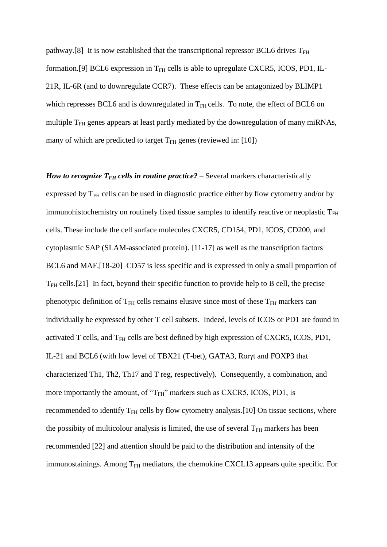pathway.[\[8\]](#page-19-0) It is now established that the transcriptional repressor BCL6 drives  $T_{FH}$ formation.[\[9\]](#page-19-1) BCL6 expression in  $T<sub>FH</sub>$  cells is able to upregulate CXCR5, ICOS, PD1, IL-21R, IL-6R (and to downregulate CCR7). These effects can be antagonized by BLIMP1 which represses BCL6 and is downregulated in  $T<sub>FH</sub>$  cells. To note, the effect of BCL6 on multiple  $T<sub>FH</sub>$  genes appears at least partly mediated by the downregulation of many miRNAs, many of which are predicted to target  $T<sub>FH</sub>$  genes (reviewed in: [\[10\]](#page-19-2))

*How to recognize*  $T_{FH}$  *cells in <i>routine practice?* – Several markers characteristically expressed by  $T<sub>FH</sub>$  cells can be used in diagnostic practice either by flow cytometry and/or by immunohistochemistry on routinely fixed tissue samples to identify reactive or neoplastic  $T_{FH}$ cells. These include the cell surface molecules CXCR5, CD154, PD1, ICOS, CD200, and cytoplasmic SAP (SLAM-associated protein). [\[11-17\]](#page-19-3) as well as the transcription factors BCL6 and MAF.[\[18-20\]](#page-20-0) CD57 is less specific and is expressed in only a small proportion of  $T<sub>FH</sub>$  cells.[\[21\]](#page-20-1) In fact, beyond their specific function to provide help to B cell, the precise phenotypic definition of  $T<sub>FH</sub>$  cells remains elusive since most of these  $T<sub>FH</sub>$  markers can individually be expressed by other T cell subsets. Indeed, levels of ICOS or PD1 are found in activated T cells, and  $T<sub>FH</sub>$  cells are best defined by high expression of CXCR5, ICOS, PD1, IL-21 and BCL6 (with low level of TBX21 (T-bet), GATA3, Roryt and FOXP3 that characterized Th1, Th2, Th17 and T reg, respectively). Consequently, a combination, and more importantly the amount, of " $T_{FH}$ " markers such as CXCR5, ICOS, PD1, is recommended to identify  $T<sub>FH</sub>$  cells by flow cytometry analysis.[\[10\]](#page-19-2) On tissue sections, where the possibity of multicolour analysis is limited, the use of several  $T_{FH}$  markers has been recommended [\[22\]](#page-20-2) and attention should be paid to the distribution and intensity of the immunostainings. Among  $T<sub>FH</sub>$  mediators, the chemokine CXCL13 appears quite specific. For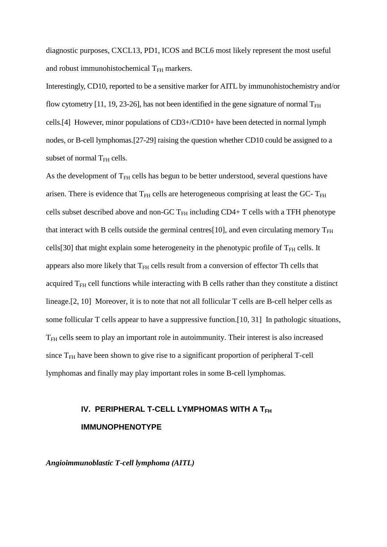diagnostic purposes, CXCL13, PD1, ICOS and BCL6 most likely represent the most useful and robust immunohistochemical  $T<sub>FH</sub>$  markers.

Interestingly, CD10, reported to be a sensitive marker for AITL by immunohistochemistry and/or flow cytometry [\[11,](#page-19-3) [19,](#page-20-3) [23-26\]](#page-20-4), has not been identified in the gene signature of normal  $T_{FH}$ cells.[\[4\]](#page-18-1) However, minor populations of CD3+/CD10+ have been detected in normal lymph nodes, or B-cell lymphomas.[\[27-29\]](#page-21-0) raising the question whether CD10 could be assigned to a subset of normal  $T<sub>FH</sub>$  cells.

As the development of  $T<sub>FH</sub>$  cells has begun to be better understood, several questions have arisen. There is evidence that  $T<sub>FH</sub>$  cells are heterogeneous comprising at least the GC-  $T<sub>FH</sub>$ cells subset described above and non-GC  $T<sub>FH</sub>$  including CD4+ T cells with a TFH phenotype that interact with B cells outside the germinal centres[\[10\]](#page-19-2), and even circulating memory  $T_{FH}$ cells[\[30\]](#page-21-1) that might explain some heterogeneity in the phenotypic profile of  $T<sub>FH</sub>$  cells. It appears also more likely that  $T<sub>FH</sub>$  cells result from a conversion of effector Th cells that acquired  $T<sub>FH</sub>$  cell functions while interacting with B cells rather than they constitute a distinct lineage.[\[2,](#page-18-4) [10\]](#page-19-2) Moreover, it is to note that not all follicular T cells are B-cell helper cells as some follicular T cells appear to have a suppressive function.[\[10,](#page-19-2) [31\]](#page-21-2) In pathologic situations, TFH cells seem to play an important role in autoimmunity. Their interest is also increased since  $T<sub>FH</sub>$  have been shown to give rise to a significant proportion of peripheral T-cell lymphomas and finally may play important roles in some B-cell lymphomas.

## **IV. PERIPHERAL T-CELL LYMPHOMAS WITH A TFH IMMUNOPHENOTYPE**

*Angioimmunoblastic T-cell lymphoma (AITL)*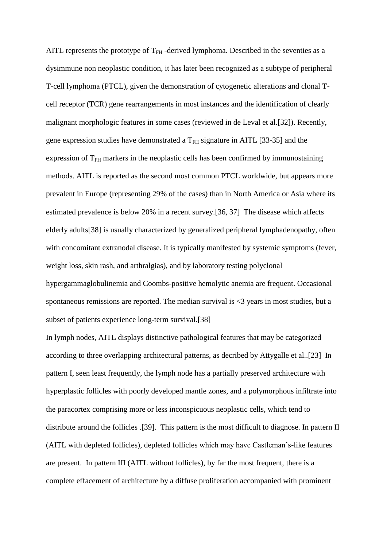AITL represents the prototype of  $T<sub>FH</sub>$ -derived lymphoma. Described in the seventies as a dysimmune non neoplastic condition, it has later been recognized as a subtype of peripheral T-cell lymphoma (PTCL), given the demonstration of cytogenetic alterations and clonal Tcell receptor (TCR) gene rearrangements in most instances and the identification of clearly malignant morphologic features in some cases (reviewed in de Leval et al.[\[32\]](#page-21-3)). Recently, gene expression studies have demonstrated a  $T<sub>FH</sub>$  signature in AITL [\[33-35\]](#page-21-4) and the expression of  $T<sub>FH</sub>$  markers in the neoplastic cells has been confirmed by immunostaining methods. AITL is reported as the second most common PTCL worldwide, but appears more prevalent in Europe (representing 29% of the cases) than in North America or Asia where its estimated prevalence is below 20% in a recent survey.[\[36,](#page-22-0) [37\]](#page-22-1) The disease which affects elderly adults[\[38\]](#page-22-2) is usually characterized by generalized peripheral lymphadenopathy, often with concomitant extranodal disease. It is typically manifested by systemic symptoms (fever, weight loss, skin rash, and arthralgias), and by laboratory testing polyclonal hypergammaglobulinemia and Coombs-positive hemolytic anemia are frequent. Occasional spontaneous remissions are reported. The median survival is  $\leq$ 3 years in most studies, but a subset of patients experience long-term survival.[\[38\]](#page-22-2)

In lymph nodes, AITL displays distinctive pathological features that may be categorized according to three overlapping architectural patterns, as decribed by Attygalle et al..[\[23\]](#page-20-4) In pattern I, seen least frequently, the lymph node has a partially preserved architecture with hyperplastic follicles with poorly developed mantle zones, and a polymorphous infiltrate into the paracortex comprising more or less inconspicuous neoplastic cells, which tend to distribute around the follicles .[\[39\]](#page-22-3). This pattern is the most difficult to diagnose. In pattern II (AITL with depleted follicles), depleted follicles which may have Castleman's-like features are present. In pattern III (AITL without follicles), by far the most frequent, there is a complete effacement of architecture by a diffuse proliferation accompanied with prominent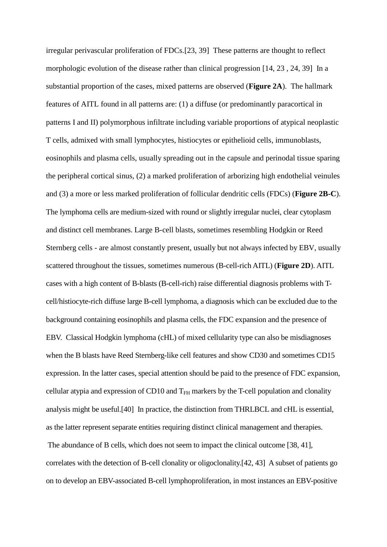irregular perivascular proliferation of FDCs.[\[23,](#page-20-4) [39\]](#page-22-3) These patterns are thought to reflect morphologic evolution of the disease rather than clinical progression [\[14,](#page-19-4) [23](#page-20-4) , [24,](#page-20-5) [39\]](#page-22-3) In a substantial proportion of the cases, mixed patterns are observed (**Figure 2A**). The hallmark features of AITL found in all patterns are: (1) a diffuse (or predominantly paracortical in patterns I and II) polymorphous infiltrate including variable proportions of atypical neoplastic T cells, admixed with small lymphocytes, histiocytes or epithelioid cells, immunoblasts, eosinophils and plasma cells, usually spreading out in the capsule and perinodal tissue sparing the peripheral cortical sinus, (2) a marked proliferation of arborizing high endothelial veinules and (3) a more or less marked proliferation of follicular dendritic cells (FDCs) (**Figure 2B-C**). The lymphoma cells are medium-sized with round or slightly irregular nuclei, clear cytoplasm and distinct cell membranes. Large B-cell blasts, sometimes resembling Hodgkin or Reed Sternberg cells - are almost constantly present, usually but not always infected by EBV, usually scattered throughout the tissues, sometimes numerous (B-cell-rich AITL) (**Figure 2D**). AITL cases with a high content of B-blasts (B-cell-rich) raise differential diagnosis problems with Tcell/histiocyte-rich diffuse large B-cell lymphoma, a diagnosis which can be excluded due to the background containing eosinophils and plasma cells, the FDC expansion and the presence of EBV. Classical Hodgkin lymphoma (cHL) of mixed cellularity type can also be misdiagnoses when the B blasts have Reed Sternberg-like cell features and show CD30 and sometimes CD15 expression. In the latter cases, special attention should be paid to the presence of FDC expansion, cellular atypia and expression of CD10 and  $T<sub>FH</sub>$  markers by the T-cell population and clonality analysis might be useful.[\[40\]](#page-22-4) In practice, the distinction from THRLBCL and cHL is essential, as the latter represent separate entities requiring distinct clinical management and therapies. The abundance of B cells, which does not seem to impact the clinical outcome [\[38,](#page-22-2) [41\]](#page-22-5), correlates with the detection of B-cell clonality or oligoclonality.[\[42,](#page-23-0) [43\]](#page-23-1) A subset of patients go

on to develop an EBV-associated B-cell lymphoproliferation, in most instances an EBV-positive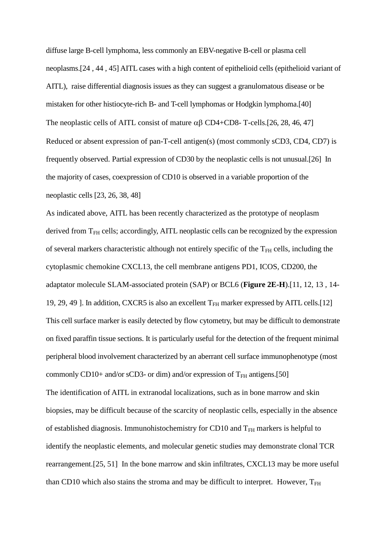diffuse large B-cell lymphoma, less commonly an EBV-negative B-cell or plasma cell neoplasms.[\[24](#page-20-5) , [44](#page-23-2) , [45\]](#page-23-3) AITL cases with a high content of epithelioid cells (epithelioid variant of AITL), raise differential diagnosis issues as they can suggest a granulomatous disease or be mistaken for other histiocyte-rich B- and T-cell lymphomas or Hodgkin lymphoma.[\[40\]](#page-22-4) The neoplastic cells of AITL consist of mature  $\alpha\beta$  CD4+CD8- T-cells.[\[26,](#page-21-5) [28,](#page-21-6) [46,](#page-23-4) [47\]](#page-23-5) Reduced or absent expression of pan-T-cell antigen(s) (most commonly sCD3, CD4, CD7) is frequently observed. Partial expression of CD30 by the neoplastic cells is not unusual.[\[26\]](#page-21-5) In the majority of cases, coexpression of CD10 is observed in a variable proportion of the neoplastic cells [\[23,](#page-20-4) [26,](#page-21-5) [38,](#page-22-2) [48\]](#page-23-6)

As indicated above, AITL has been recently characterized as the prototype of neoplasm derived from  $T<sub>FH</sub>$  cells; accordingly, AITL neoplastic cells can be recognized by the expression of several markers characteristic although not entirely specific of the  $T<sub>FH</sub>$  cells, including the cytoplasmic chemokine CXCL13, the cell membrane antigens PD1, ICOS, CD200, the adaptator molecule SLAM-associated protein (SAP) or BCL6 (**Figure 2E-H**).[\[11,](#page-19-3) [12,](#page-19-5) [13](#page-19-6) , [14-](#page-19-4) [19,](#page-19-4) [29,](#page-21-7) [49](#page-23-7) ]. In addition, CXCR5 is also an excellent  $T<sub>FH</sub>$  marker expressed by AITL cells.[\[12\]](#page-19-5) This cell surface marker is easily detected by flow cytometry, but may be difficult to demonstrate on fixed paraffin tissue sections. It is particularly useful for the detection of the frequent minimal peripheral blood involvement characterized by an aberrant cell surface immunophenotype (most commonly CD10+ and/or sCD3- or dim) and/or expression of  $T<sub>FH</sub>$  antigens.[\[50\]](#page-24-0) The identification of AITL in extranodal localizations, such as in bone marrow and skin biopsies, may be difficult because of the scarcity of neoplastic cells, especially in the absence of established diagnosis. Immunohistochemistry for CD10 and  $T<sub>FH</sub>$  markers is helpful to identify the neoplastic elements, and molecular genetic studies may demonstrate clonal TCR rearrangement.[\[25,](#page-21-8) [51\]](#page-24-1) In the bone marrow and skin infiltrates, CXCL13 may be more useful than CD10 which also stains the stroma and may be difficult to interpret. However,  $T_{FH}$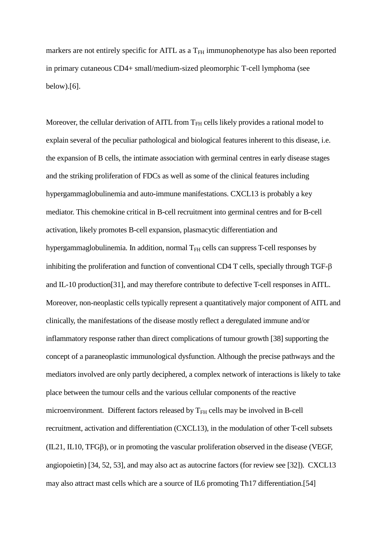markers are not entirely specific for AITL as a  $T<sub>FH</sub>$  immunophenotype has also been reported in primary cutaneous CD4+ small/medium-sized pleomorphic T-cell lymphoma (see below).[\[6\]](#page-18-3).

Moreover, the cellular derivation of AITL from  $T<sub>FH</sub>$  cells likely provides a rational model to explain several of the peculiar pathological and biological features inherent to this disease, i.e. the expansion of B cells, the intimate association with germinal centres in early disease stages and the striking proliferation of FDCs as well as some of the clinical features including hypergammaglobulinemia and auto-immune manifestations. CXCL13 is probably a key mediator. This chemokine critical in B-cell recruitment into germinal centres and for B-cell activation, likely promotes B-cell expansion, plasmacytic differentiation and hypergammaglobulinemia. In addition, normal  $T<sub>FH</sub>$  cells can suppress T-cell responses by inhibiting the proliferation and function of conventional CD4 T cells, specially through TGF- $\beta$ and IL-10 production[\[31\]](#page-21-2), and may therefore contribute to defective T-cell responses in AITL. Moreover, non-neoplastic cells typically represent a quantitatively major component of AITL and clinically, the manifestations of the disease mostly reflect a deregulated immune and/or inflammatory response rather than direct complications of tumour growth [\[38\]](#page-22-2) supporting the concept of a paraneoplastic immunological dysfunction. Although the precise pathways and the mediators involved are only partly deciphered, a complex network of interactions is likely to take place between the tumour cells and the various cellular components of the reactive microenvironment. Different factors released by  $T<sub>FH</sub>$  cells may be involved in B-cell recruitment, activation and differentiation (CXCL13), in the modulation of other T-cell subsets  $(II.21, II.10, TFG\beta)$ , or in promoting the vascular proliferation observed in the disease (VEGF, angiopoietin) [\[34,](#page-22-6) [52,](#page-24-2) [53\]](#page-24-3), and may also act as autocrine factors (for review see [\[32\]](#page-21-3)). CXCL13 may also attract mast cells which are a source of IL6 promoting Th17 differentiation.[\[54\]](#page-24-4)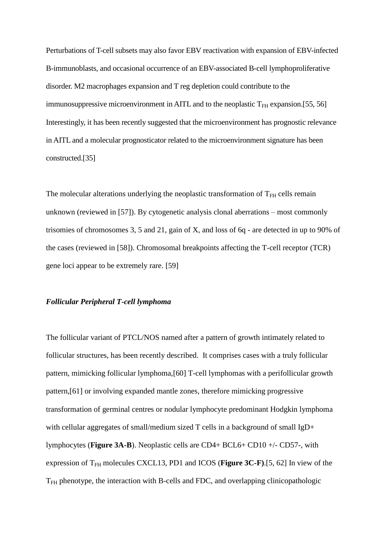Perturbations of T-cell subsets may also favor EBV reactivation with expansion of EBV-infected B-immunoblasts, and occasional occurrence of an EBV-associated B-cell lymphoproliferative disorder. M2 macrophages expansion and T reg depletion could contribute to the immunosuppressive microenvironment in AITL and to the neoplastic  $T<sub>FH</sub>$  expansion.[\[55,](#page-24-5) [56\]](#page-24-6) Interestingly, it has been recently suggested that the microenvironment has prognostic relevance in AITL and a molecular prognosticator related to the microenvironment signature has been constructed.[\[35\]](#page-22-7)

The molecular alterations underlying the neoplastic transformation of  $T<sub>FH</sub>$  cells remain unknown (reviewed in [\[57\]](#page-24-7)). By cytogenetic analysis clonal aberrations – most commonly trisomies of chromosomes 3, 5 and 21, gain of X, and loss of 6q - are detected in up to 90% of the cases (reviewed in [\[58\]](#page-24-8)). Chromosomal breakpoints affecting the T-cell receptor (TCR) gene loci appear to be extremely rare. [\[59\]](#page-25-0)

### *Follicular Peripheral T-cell lymphoma*

The follicular variant of PTCL/NOS named after a pattern of growth intimately related to follicular structures, has been recently described. It comprises cases with a truly follicular pattern, mimicking follicular lymphoma,[\[60\]](#page-25-1) T-cell lymphomas with a perifollicular growth pattern,[\[61\]](#page-25-2) or involving expanded mantle zones, therefore mimicking progressive transformation of germinal centres or nodular lymphocyte predominant Hodgkin lymphoma with cellular aggregates of small/medium sized T cells in a background of small IgD+ lymphocytes (**Figure 3A-B**). Neoplastic cells are CD4+ BCL6+ CD10 +/- CD57-, with expression of  $T<sub>FH</sub>$  molecules CXCL13, PD1 and ICOS (**Figure 3C-F**).[\[5,](#page-18-2) [62\]](#page-25-3) In view of the  $T<sub>FH</sub>$  phenotype, the interaction with B-cells and FDC, and overlapping clinicopathologic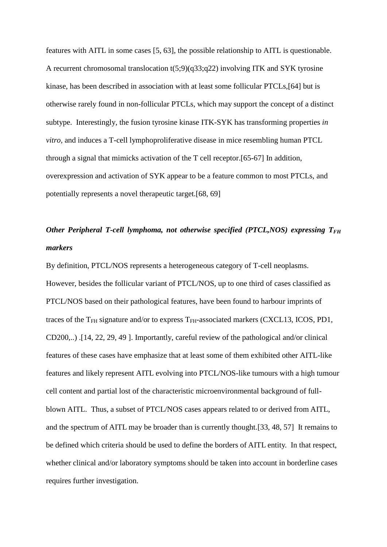features with AITL in some cases [\[5,](#page-18-2) [63\]](#page-25-4), the possible relationship to AITL is questionable. A recurrent chromosomal translocation t(5;9)(q33;q22) involving ITK and SYK tyrosine kinase, has been described in association with at least some follicular PTCLs,[\[64\]](#page-25-5) but is otherwise rarely found in non-follicular PTCLs, which may support the concept of a distinct subtype. Interestingly, the fusion tyrosine kinase ITK-SYK has transforming properties *in vitro*, and induces a T-cell lymphoproliferative disease in mice resembling human PTCL through a signal that mimicks activation of the T cell receptor.[\[65-67\]](#page-25-6) In addition, overexpression and activation of SYK appear to be a feature common to most PTCLs, and potentially represents a novel therapeutic target.[\[68,](#page-25-7) [69\]](#page-26-0)

## *Other Peripheral T-cell lymphoma, not otherwise specified (PTCL,NOS) expressing T<sub>FH</sub> markers*

By definition, PTCL/NOS represents a heterogeneous category of T-cell neoplasms. However, besides the follicular variant of PTCL/NOS, up to one third of cases classified as PTCL/NOS based on their pathological features, have been found to harbour imprints of traces of the  $T_{FH}$  signature and/or to express  $T_{FH}$ -associated markers (CXCL13, ICOS, PD1, CD200,..) .[\[14,](#page-19-4) [22,](#page-20-2) [29,](#page-21-7) [49](#page-23-7) ]. Importantly, careful review of the pathological and/or clinical features of these cases have emphasize that at least some of them exhibited other AITL-like features and likely represent AITL evolving into PTCL/NOS-like tumours with a high tumour cell content and partial lost of the characteristic microenvironmental background of fullblown AITL. Thus, a subset of PTCL/NOS cases appears related to or derived from AITL, and the spectrum of AITL may be broader than is currently thought.[\[33,](#page-21-4) [48,](#page-23-6) [57\]](#page-24-7) It remains to be defined which criteria should be used to define the borders of AITL entity. In that respect, whether clinical and/or laboratory symptoms should be taken into account in borderline cases requires further investigation.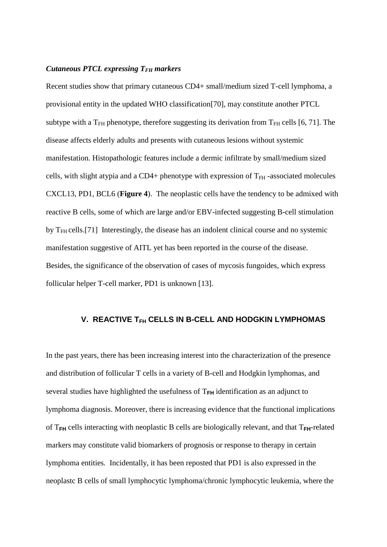## *Cutaneous PTCL expressing TFH markers*

Recent studies show that primary cutaneous CD4+ small/medium sized T-cell lymphoma, a provisional entity in the updated WHO classification[\[70\]](#page-26-1), may constitute another PTCL subtype with a  $T_{FH}$  phenotype, therefore suggesting its derivation from  $T_{FH}$  cells [\[6,](#page-18-3) [71\]](#page-26-2). The disease affects elderly adults and presents with cutaneous lesions without systemic manifestation. Histopathologic features include a dermic infiltrate by small/medium sized cells, with slight atypia and a CD4+ phenotype with expression of  $T<sub>FH</sub>$ -associated molecules CXCL13, PD1, BCL6 (**Figure 4**). The neoplastic cells have the tendency to be admixed with reactive B cells, some of which are large and/or EBV-infected suggesting B-cell stimulation by  $T<sub>FH</sub>$  cells.[\[71\]](#page-26-2) Interestingly, the disease has an indolent clinical course and no systemic manifestation suggestive of AITL yet has been reported in the course of the disease. Besides, the significance of the observation of cases of mycosis fungoides, which express follicular helper T-cell marker, PD1 is unknown [\[13\]](#page-19-6).

## **V. REACTIVE TFH CELLS IN B-CELL AND HODGKIN LYMPHOMAS**

In the past years, there has been increasing interest into the characterization of the presence and distribution of follicular T cells in a variety of B-cell and Hodgkin lymphomas, and several studies have highlighted the usefulness of  $T<sub>FH</sub>$  identification as an adjunct to lymphoma diagnosis. Moreover, there is increasing evidence that the functional implications of T**FH** cells interacting with neoplastic B cells are biologically relevant, and that T**FH**-related markers may constitute valid biomarkers of prognosis or response to therapy in certain lymphoma entities. Incidentally, it has been reposted that PD1 is also expressed in the neoplastc B cells of small lymphocytic lymphoma/chronic lymphocytic leukemia, where the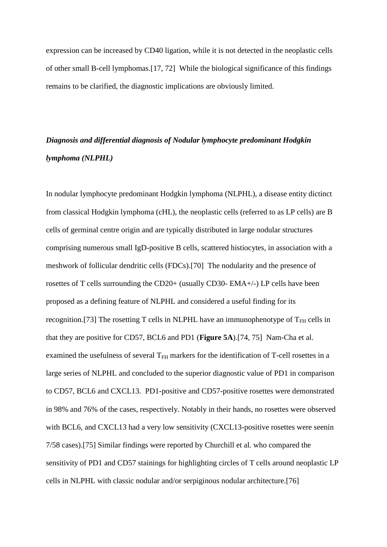expression can be increased by CD40 ligation, while it is not detected in the neoplastic cells of other small B-cell lymphomas.[\[17,](#page-20-6) [72\]](#page-26-3) While the biological significance of this findings remains to be clarified, the diagnostic implications are obviously limited.

## *Diagnosis and differential diagnosis of Nodular lymphocyte predominant Hodgkin lymphoma (NLPHL)*

In nodular lymphocyte predominant Hodgkin lymphoma (NLPHL), a disease entity dictinct from classical Hodgkin lymphoma (cHL), the neoplastic cells (referred to as LP cells) are B cells of germinal centre origin and are typically distributed in large nodular structures comprising numerous small IgD-positive B cells, scattered histiocytes, in association with a meshwork of follicular dendritic cells (FDCs).[\[70\]](#page-26-1) The nodularity and the presence of rosettes of T cells surrounding the CD20+ (usually CD30- EMA+/-) LP cells have been proposed as a defining feature of NLPHL and considered a useful finding for its recognition.[\[73\]](#page-26-4) The rosetting T cells in NLPHL have an immunophenotype of  $T<sub>FH</sub>$  cells in that they are positive for CD57, BCL6 and PD1 (**Figure 5A**).[\[74,](#page-26-5) [75\]](#page-26-6) Nam-Cha et al. examined the usefulness of several  $T<sub>FH</sub>$  markers for the identification of T-cell rosettes in a large series of NLPHL and concluded to the superior diagnostic value of PD1 in comparison to CD57, BCL6 and CXCL13. PD1-positive and CD57-positive rosettes were demonstrated in 98% and 76% of the cases, respectively. Notably in their hands, no rosettes were observed with BCL6, and CXCL13 had a very low sensitivity (CXCL13-positive rosettes were seenin 7/58 cases).[\[75\]](#page-26-6) Similar findings were reported by Churchill et al. who compared the sensitivity of PD1 and CD57 stainings for highlighting circles of T cells around neoplastic LP cells in NLPHL with classic nodular and/or serpiginous nodular architecture.[\[76\]](#page-26-7)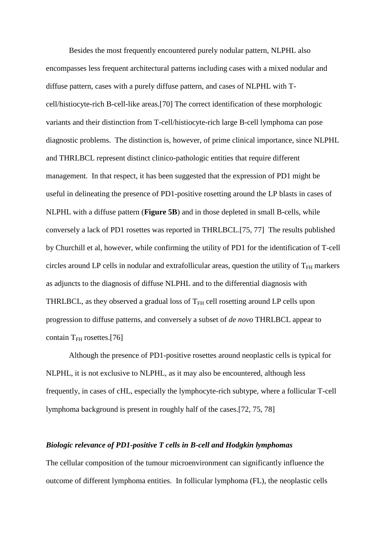Besides the most frequently encountered purely nodular pattern, NLPHL also encompasses less frequent architectural patterns including cases with a mixed nodular and diffuse pattern, cases with a purely diffuse pattern, and cases of NLPHL with Tcell/histiocyte-rich B-cell-like areas.[\[70\]](#page-26-1) The correct identification of these morphologic variants and their distinction from T-cell/histiocyte-rich large B-cell lymphoma can pose diagnostic problems. The distinction is, however, of prime clinical importance, since NLPHL and THRLBCL represent distinct clinico-pathologic entities that require different management. In that respect, it has been suggested that the expression of PD1 might be useful in delineating the presence of PD1-positive rosetting around the LP blasts in cases of NLPHL with a diffuse pattern (**Figure 5B**) and in those depleted in small B-cells, while conversely a lack of PD1 rosettes was reported in THRLBCL.[\[75,](#page-26-6) [77\]](#page-26-8) The results published by Churchill et al, however, while confirming the utility of PD1 for the identification of T-cell circles around LP cells in nodular and extrafollicular areas, question the utility of  $T<sub>FH</sub>$  markers as adjuncts to the diagnosis of diffuse NLPHL and to the differential diagnosis with THRLBCL, as they observed a gradual loss of  $T<sub>FH</sub>$  cell rosetting around LP cells upon progression to diffuse patterns, and conversely a subset of *de novo* THRLBCL appear to contain  $T_{FH}$  rosettes.[\[76\]](#page-26-7)

Although the presence of PD1-positive rosettes around neoplastic cells is typical for NLPHL, it is not exclusive to NLPHL, as it may also be encountered, although less frequently, in cases of cHL, especially the lymphocyte-rich subtype, where a follicular T-cell lymphoma background is present in roughly half of the cases.[\[72,](#page-26-3) [75,](#page-26-6) [78\]](#page-27-0)

### *Biologic relevance of PD1-positive T cells in B-cell and Hodgkin lymphomas*

The cellular composition of the tumour microenvironment can significantly influence the outcome of different lymphoma entities. In follicular lymphoma (FL), the neoplastic cells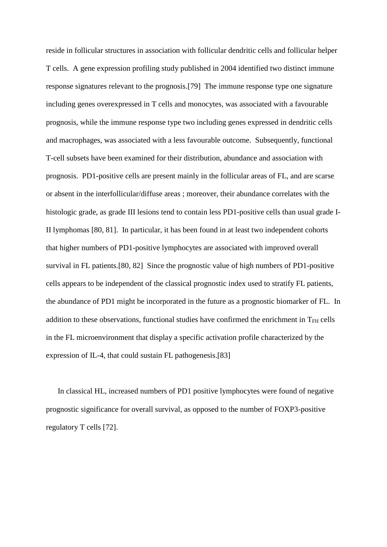reside in follicular structures in association with follicular dendritic cells and follicular helper T cells. A gene expression profiling study published in 2004 identified two distinct immune response signatures relevant to the prognosis.[\[79\]](#page-27-1) The immune response type one signature including genes overexpressed in T cells and monocytes, was associated with a favourable prognosis, while the immune response type two including genes expressed in dendritic cells and macrophages, was associated with a less favourable outcome. Subsequently, functional T-cell subsets have been examined for their distribution, abundance and association with prognosis. PD1-positive cells are present mainly in the follicular areas of FL, and are scarse or absent in the interfollicular/diffuse areas ; moreover, their abundance correlates with the histologic grade, as grade III lesions tend to contain less PD1-positive cells than usual grade I-II lymphomas [\[80,](#page-27-2) [81\]](#page-27-3). In particular, it has been found in at least two independent cohorts that higher numbers of PD1-positive lymphocytes are associated with improved overall survival in FL patients.[\[80,](#page-27-2) [82\]](#page-27-4) Since the prognostic value of high numbers of PD1-positive cells appears to be independent of the classical prognostic index used to stratify FL patients, the abundance of PD1 might be incorporated in the future as a prognostic biomarker of FL. In addition to these observations, functional studies have confirmed the enrichment in  $T<sub>FH</sub>$  cells in the FL microenvironment that display a specific activation profile characterized by the expression of IL-4, that could sustain FL pathogenesis.[\[83\]](#page-27-5)

In classical HL, increased numbers of PD1 positive lymphocytes were found of negative prognostic significance for overall survival, as opposed to the number of FOXP3-positive regulatory T cells [\[72\]](#page-26-3).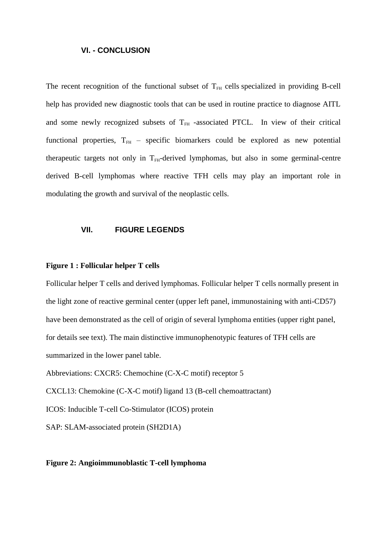### **VI. - CONCLUSION**

The recent recognition of the functional subset of  $T<sub>FH</sub>$  cells specialized in providing B-cell help has provided new diagnostic tools that can be used in routine practice to diagnose AITL and some newly recognized subsets of  $T<sub>FH</sub>$  -associated PTCL. In view of their critical functional properties,  $T_{FH}$  – specific biomarkers could be explored as new potential therapeutic targets not only in  $T<sub>FH</sub>$ -derived lymphomas, but also in some germinal-centre derived B-cell lymphomas where reactive TFH cells may play an important role in modulating the growth and survival of the neoplastic cells.

### **VII. FIGURE LEGENDS**

#### **Figure 1 : Follicular helper T cells**

Follicular helper T cells and derived lymphomas. Follicular helper T cells normally present in the light zone of reactive germinal center (upper left panel, immunostaining with anti-CD57) have been demonstrated as the cell of origin of several lymphoma entities (upper right panel, for details see text). The main distinctive immunophenotypic features of TFH cells are summarized in the lower panel table.

Abbreviations: CXCR5: Chemochine (C-X-C motif) receptor 5

CXCL13: Chemokine (C-X-C motif) ligand 13 (B-cell chemoattractant)

ICOS: Inducible T-cell Co-Stimulator (ICOS) protein

SAP: SLAM-associated protein (SH2D1A)

### **Figure 2: Angioimmunoblastic T-cell lymphoma**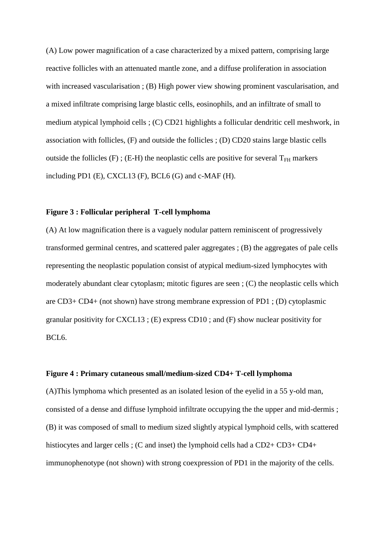(A) Low power magnification of a case characterized by a mixed pattern, comprising large reactive follicles with an attenuated mantle zone, and a diffuse proliferation in association with increased vascularisation ; (B) High power view showing prominent vascularisation, and a mixed infiltrate comprising large blastic cells, eosinophils, and an infiltrate of small to medium atypical lymphoid cells ; (C) CD21 highlights a follicular dendritic cell meshwork, in association with follicles, (F) and outside the follicles ; (D) CD20 stains large blastic cells outside the follicles (F); (E-H) the neoplastic cells are positive for several  $T_{FH}$  markers including PD1  $(E)$ , CXCL13  $(F)$ , BCL6  $(G)$  and c-MAF  $(H)$ .

## <span id="page-18-0"></span>**Figure 3 : Follicular peripheral T-cell lymphoma**

<span id="page-18-4"></span><span id="page-18-1"></span>(A) At low magnification there is a vaguely nodular pattern reminiscent of progressively transformed germinal centres, and scattered paler aggregates ; (B) the aggregates of pale cells representing the neoplastic population consist of atypical medium-sized lymphocytes with moderately abundant clear cytoplasm; mitotic figures are seen ; (C) the neoplastic cells which are CD3+ CD4+ (not shown) have strong membrane expression of PD1 ; (D) cytoplasmic granular positivity for CXCL13 ; (E) express CD10 ; and (F) show nuclear positivity for BCL6.

## <span id="page-18-2"></span>**Figure 4 : Primary cutaneous small/medium-sized CD4+ T-cell lymphoma**

<span id="page-18-5"></span><span id="page-18-3"></span>(A)This lymphoma which presented as an isolated lesion of the eyelid in a 55 y-old man, consisted of a dense and diffuse lymphoid infiltrate occupying the the upper and mid-dermis ; (B) it was composed of small to medium sized slightly atypical lymphoid cells, with scattered histiocytes and larger cells ; (C and inset) the lymphoid cells had a CD2+ CD3+ CD4+ immunophenotype (not shown) with strong coexpression of PD1 in the majority of the cells.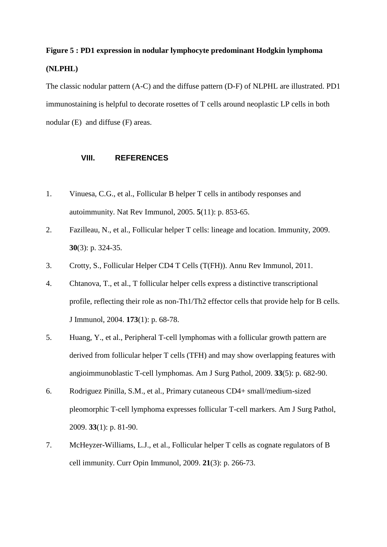# <span id="page-19-0"></span>**Figure 5 : PD1 expression in nodular lymphocyte predominant Hodgkin lymphoma (NLPHL)**

<span id="page-19-2"></span><span id="page-19-1"></span>The classic nodular pattern (A-C) and the diffuse pattern (D-F) of NLPHL are illustrated. PD1 immunostaining is helpful to decorate rosettes of T cells around neoplastic LP cells in both nodular (E) and diffuse (F) areas.

## **VIII. REFERENCES**

- <span id="page-19-5"></span><span id="page-19-3"></span>1. Vinuesa, C.G., et al., Follicular B helper T cells in antibody responses and autoimmunity. Nat Rev Immunol, 2005. **5**(11): p. 853-65.
- 2. Fazilleau, N., et al., Follicular helper T cells: lineage and location. Immunity, 2009. **30**(3): p. 324-35.
- <span id="page-19-6"></span>3. Crotty, S., Follicular Helper CD4 T Cells (T(FH)). Annu Rev Immunol, 2011.
- 4. Chtanova, T., et al., T follicular helper cells express a distinctive transcriptional profile, reflecting their role as non-Th1/Th2 effector cells that provide help for B cells. J Immunol, 2004. **173**(1): p. 68-78.
- <span id="page-19-4"></span>5. Huang, Y., et al., Peripheral T-cell lymphomas with a follicular growth pattern are derived from follicular helper T cells (TFH) and may show overlapping features with angioimmunoblastic T-cell lymphomas. Am J Surg Pathol, 2009. **33**(5): p. 682-90.
- 6. Rodriguez Pinilla, S.M., et al., Primary cutaneous CD4+ small/medium-sized pleomorphic T-cell lymphoma expresses follicular T-cell markers. Am J Surg Pathol, 2009. **33**(1): p. 81-90.
- 7. McHeyzer-Williams, L.J., et al., Follicular helper T cells as cognate regulators of B cell immunity. Curr Opin Immunol, 2009. **21**(3): p. 266-73.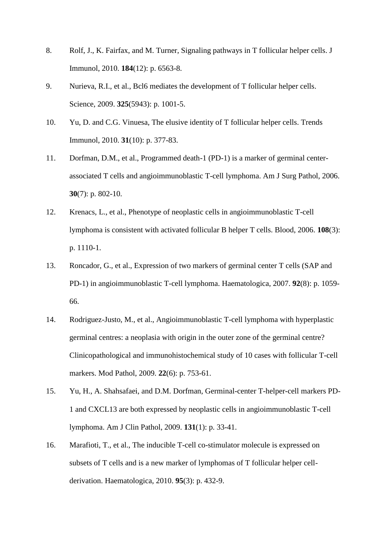- <span id="page-20-6"></span>8. Rolf, J., K. Fairfax, and M. Turner, Signaling pathways in T follicular helper cells. J Immunol, 2010. **184**(12): p. 6563-8.
- <span id="page-20-0"></span>9. Nurieva, R.I., et al., Bcl6 mediates the development of T follicular helper cells. Science, 2009. **325**(5943): p. 1001-5.
- 10. Yu, D. and C.G. Vinuesa, The elusive identity of T follicular helper cells. Trends Immunol, 2010. **31**(10): p. 377-83.
- 11. Dorfman, D.M., et al., Programmed death-1 (PD-1) is a marker of germinal centerassociated T cells and angioimmunoblastic T-cell lymphoma. Am J Surg Pathol, 2006. **30**(7): p. 802-10.
- <span id="page-20-3"></span>12. Krenacs, L., et al., Phenotype of neoplastic cells in angioimmunoblastic T-cell lymphoma is consistent with activated follicular B helper T cells. Blood, 2006. **108**(3): p. 1110-1.
- 13. Roncador, G., et al., Expression of two markers of germinal center T cells (SAP and PD-1) in angioimmunoblastic T-cell lymphoma. Haematologica, 2007. **92**(8): p. 1059- 66.
- <span id="page-20-1"></span>14. Rodriguez-Justo, M., et al., Angioimmunoblastic T-cell lymphoma with hyperplastic germinal centres: a neoplasia with origin in the outer zone of the germinal centre? Clinicopathological and immunohistochemical study of 10 cases with follicular T-cell markers. Mod Pathol, 2009. **22**(6): p. 753-61.
- <span id="page-20-4"></span><span id="page-20-2"></span>15. Yu, H., A. Shahsafaei, and D.M. Dorfman, Germinal-center T-helper-cell markers PD-1 and CXCL13 are both expressed by neoplastic cells in angioimmunoblastic T-cell lymphoma. Am J Clin Pathol, 2009. **131**(1): p. 33-41.
- <span id="page-20-5"></span>16. Marafioti, T., et al., The inducible T-cell co-stimulator molecule is expressed on subsets of T cells and is a new marker of lymphomas of T follicular helper cellderivation. Haematologica, 2010. **95**(3): p. 432-9.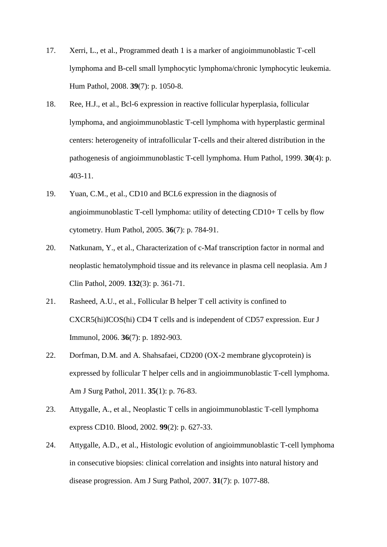- <span id="page-21-8"></span>17. Xerri, L., et al., Programmed death 1 is a marker of angioimmunoblastic T-cell lymphoma and B-cell small lymphocytic lymphoma/chronic lymphocytic leukemia. Hum Pathol, 2008. **39**(7): p. 1050-8.
- <span id="page-21-5"></span><span id="page-21-0"></span>18. Ree, H.J., et al., Bcl-6 expression in reactive follicular hyperplasia, follicular lymphoma, and angioimmunoblastic T-cell lymphoma with hyperplastic germinal centers: heterogeneity of intrafollicular T-cells and their altered distribution in the pathogenesis of angioimmunoblastic T-cell lymphoma. Hum Pathol, 1999. **30**(4): p. 403-11.
- <span id="page-21-6"></span>19. Yuan, C.M., et al., CD10 and BCL6 expression in the diagnosis of angioimmunoblastic T-cell lymphoma: utility of detecting CD10+ T cells by flow cytometry. Hum Pathol, 2005. **36**(7): p. 784-91.
- <span id="page-21-7"></span>20. Natkunam, Y., et al., Characterization of c-Maf transcription factor in normal and neoplastic hematolymphoid tissue and its relevance in plasma cell neoplasia. Am J Clin Pathol, 2009. **132**(3): p. 361-71.
- <span id="page-21-1"></span>21. Rasheed, A.U., et al., Follicular B helper T cell activity is confined to CXCR5(hi)ICOS(hi) CD4 T cells and is independent of CD57 expression. Eur J Immunol, 2006. **36**(7): p. 1892-903.
- <span id="page-21-2"></span>22. Dorfman, D.M. and A. Shahsafaei, CD200 (OX-2 membrane glycoprotein) is expressed by follicular T helper cells and in angioimmunoblastic T-cell lymphoma. Am J Surg Pathol, 2011. **35**(1): p. 76-83.
- <span id="page-21-3"></span>23. Attygalle, A., et al., Neoplastic T cells in angioimmunoblastic T-cell lymphoma express CD10. Blood, 2002. **99**(2): p. 627-33.
- <span id="page-21-4"></span>24. Attygalle, A.D., et al., Histologic evolution of angioimmunoblastic T-cell lymphoma in consecutive biopsies: clinical correlation and insights into natural history and disease progression. Am J Surg Pathol, 2007. **31**(7): p. 1077-88.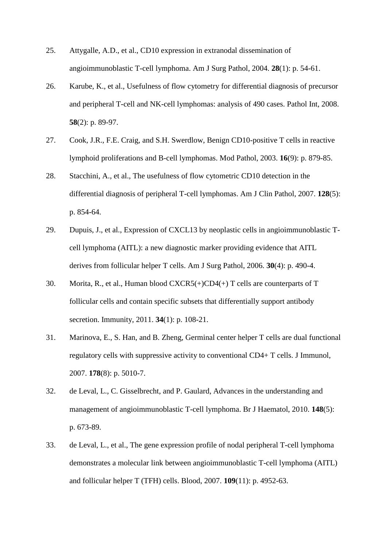- <span id="page-22-6"></span>25. Attygalle, A.D., et al., CD10 expression in extranodal dissemination of angioimmunoblastic T-cell lymphoma. Am J Surg Pathol, 2004. **28**(1): p. 54-61.
- <span id="page-22-7"></span>26. Karube, K., et al., Usefulness of flow cytometry for differential diagnosis of precursor and peripheral T-cell and NK-cell lymphomas: analysis of 490 cases. Pathol Int, 2008. **58**(2): p. 89-97.
- <span id="page-22-0"></span>27. Cook, J.R., F.E. Craig, and S.H. Swerdlow, Benign CD10-positive T cells in reactive lymphoid proliferations and B-cell lymphomas. Mod Pathol, 2003. **16**(9): p. 879-85.
- 28. Stacchini, A., et al., The usefulness of flow cytometric CD10 detection in the differential diagnosis of peripheral T-cell lymphomas. Am J Clin Pathol, 2007. **128**(5): p. 854-64.
- <span id="page-22-1"></span>29. Dupuis, J., et al., Expression of CXCL13 by neoplastic cells in angioimmunoblastic Tcell lymphoma (AITL): a new diagnostic marker providing evidence that AITL derives from follicular helper T cells. Am J Surg Pathol, 2006. **30**(4): p. 490-4.
- <span id="page-22-2"></span>30. Morita, R., et al., Human blood CXCR5(+)CD4(+) T cells are counterparts of T follicular cells and contain specific subsets that differentially support antibody secretion. Immunity, 2011. **34**(1): p. 108-21.
- <span id="page-22-4"></span><span id="page-22-3"></span>31. Marinova, E., S. Han, and B. Zheng, Germinal center helper T cells are dual functional regulatory cells with suppressive activity to conventional CD4+ T cells. J Immunol, 2007. **178**(8): p. 5010-7.
- 32. de Leval, L., C. Gisselbrecht, and P. Gaulard, Advances in the understanding and management of angioimmunoblastic T-cell lymphoma. Br J Haematol, 2010. **148**(5): p. 673-89.
- <span id="page-22-5"></span>33. de Leval, L., et al., The gene expression profile of nodal peripheral T-cell lymphoma demonstrates a molecular link between angioimmunoblastic T-cell lymphoma (AITL) and follicular helper T (TFH) cells. Blood, 2007. **109**(11): p. 4952-63.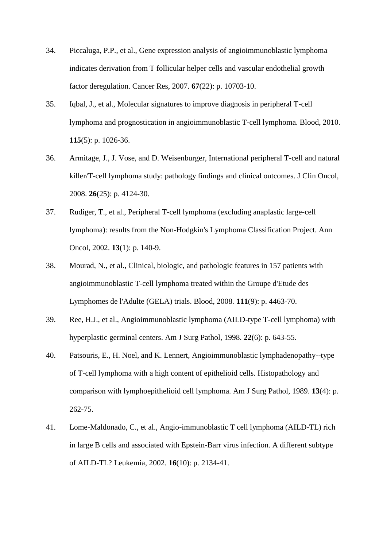- <span id="page-23-0"></span>34. Piccaluga, P.P., et al., Gene expression analysis of angioimmunoblastic lymphoma indicates derivation from T follicular helper cells and vascular endothelial growth factor deregulation. Cancer Res, 2007. **67**(22): p. 10703-10.
- <span id="page-23-1"></span>35. Iqbal, J., et al., Molecular signatures to improve diagnosis in peripheral T-cell lymphoma and prognostication in angioimmunoblastic T-cell lymphoma. Blood, 2010. **115**(5): p. 1026-36.
- <span id="page-23-2"></span>36. Armitage, J., J. Vose, and D. Weisenburger, International peripheral T-cell and natural killer/T-cell lymphoma study: pathology findings and clinical outcomes. J Clin Oncol, 2008. **26**(25): p. 4124-30.
- <span id="page-23-3"></span>37. Rudiger, T., et al., Peripheral T-cell lymphoma (excluding anaplastic large-cell lymphoma): results from the Non-Hodgkin's Lymphoma Classification Project. Ann Oncol, 2002. **13**(1): p. 140-9.
- <span id="page-23-4"></span>38. Mourad, N., et al., Clinical, biologic, and pathologic features in 157 patients with angioimmunoblastic T-cell lymphoma treated within the Groupe d'Etude des Lymphomes de l'Adulte (GELA) trials. Blood, 2008. **111**(9): p. 4463-70.
- <span id="page-23-5"></span>39. Ree, H.J., et al., Angioimmunoblastic lymphoma (AILD-type T-cell lymphoma) with hyperplastic germinal centers. Am J Surg Pathol, 1998. **22**(6): p. 643-55.
- <span id="page-23-6"></span>40. Patsouris, E., H. Noel, and K. Lennert, Angioimmunoblastic lymphadenopathy--type of T-cell lymphoma with a high content of epithelioid cells. Histopathology and comparison with lymphoepithelioid cell lymphoma. Am J Surg Pathol, 1989. **13**(4): p. 262-75.
- <span id="page-23-7"></span>41. Lome-Maldonado, C., et al., Angio-immunoblastic T cell lymphoma (AILD-TL) rich in large B cells and associated with Epstein-Barr virus infection. A different subtype of AILD-TL? Leukemia, 2002. **16**(10): p. 2134-41.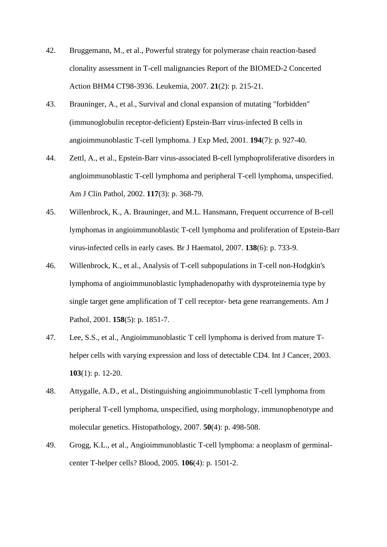- <span id="page-24-0"></span>42. Bruggemann, M., et al., Powerful strategy for polymerase chain reaction-based clonality assessment in T-cell malignancies Report of the BIOMED-2 Concerted Action BHM4 CT98-3936. Leukemia, 2007. **21**(2): p. 215-21.
- <span id="page-24-1"></span>43. Brauninger, A., et al., Survival and clonal expansion of mutating "forbidden" (immunoglobulin receptor-deficient) Epstein-Barr virus-infected B cells in angioimmunoblastic T-cell lymphoma. J Exp Med, 2001. **194**(7): p. 927-40.
- <span id="page-24-2"></span>44. Zettl, A., et al., Epstein-Barr virus-associated B-cell lymphoproliferative disorders in angloimmunoblastic T-cell lymphoma and peripheral T-cell lymphoma, unspecified. Am J Clin Pathol, 2002. **117**(3): p. 368-79.
- <span id="page-24-3"></span>45. Willenbrock, K., A. Brauninger, and M.L. Hansmann, Frequent occurrence of B-cell lymphomas in angioimmunoblastic T-cell lymphoma and proliferation of Epstein-Barr virus-infected cells in early cases. Br J Haematol, 2007. **138**(6): p. 733-9.
- <span id="page-24-5"></span><span id="page-24-4"></span>46. Willenbrock, K., et al., Analysis of T-cell subpopulations in T-cell non-Hodgkin's lymphoma of angioimmunoblastic lymphadenopathy with dysproteinemia type by single target gene amplification of T cell receptor- beta gene rearrangements. Am J Pathol, 2001. **158**(5): p. 1851-7.
- <span id="page-24-6"></span>47. Lee, S.S., et al., Angioimmunoblastic T cell lymphoma is derived from mature Thelper cells with varying expression and loss of detectable CD4. Int J Cancer, 2003. **103**(1): p. 12-20.
- <span id="page-24-7"></span>48. Attygalle, A.D., et al., Distinguishing angioimmunoblastic T-cell lymphoma from peripheral T-cell lymphoma, unspecified, using morphology, immunophenotype and molecular genetics. Histopathology, 2007. **50**(4): p. 498-508.
- <span id="page-24-8"></span>49. Grogg, K.L., et al., Angioimmunoblastic T-cell lymphoma: a neoplasm of germinalcenter T-helper cells? Blood, 2005. **106**(4): p. 1501-2.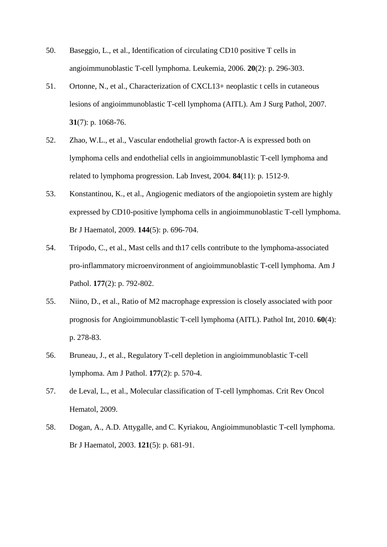- <span id="page-25-0"></span>50. Baseggio, L., et al., Identification of circulating CD10 positive T cells in angioimmunoblastic T-cell lymphoma. Leukemia, 2006. **20**(2): p. 296-303.
- <span id="page-25-1"></span>51. Ortonne, N., et al., Characterization of CXCL13+ neoplastic t cells in cutaneous lesions of angioimmunoblastic T-cell lymphoma (AITL). Am J Surg Pathol, 2007. **31**(7): p. 1068-76.
- <span id="page-25-2"></span>52. Zhao, W.L., et al., Vascular endothelial growth factor-A is expressed both on lymphoma cells and endothelial cells in angioimmunoblastic T-cell lymphoma and related to lymphoma progression. Lab Invest, 2004. **84**(11): p. 1512-9.
- <span id="page-25-3"></span>53. Konstantinou, K., et al., Angiogenic mediators of the angiopoietin system are highly expressed by CD10-positive lymphoma cells in angioimmunoblastic T-cell lymphoma. Br J Haematol, 2009. **144**(5): p. 696-704.
- <span id="page-25-4"></span>54. Tripodo, C., et al., Mast cells and th17 cells contribute to the lymphoma-associated pro-inflammatory microenvironment of angioimmunoblastic T-cell lymphoma. Am J Pathol. **177**(2): p. 792-802.
- <span id="page-25-6"></span><span id="page-25-5"></span>55. Niino, D., et al., Ratio of M2 macrophage expression is closely associated with poor prognosis for Angioimmunoblastic T-cell lymphoma (AITL). Pathol Int, 2010. **60**(4): p. 278-83.
- 56. Bruneau, J., et al., Regulatory T-cell depletion in angioimmunoblastic T-cell lymphoma. Am J Pathol. **177**(2): p. 570-4.
- 57. de Leval, L., et al., Molecular classification of T-cell lymphomas. Crit Rev Oncol Hematol, 2009.
- <span id="page-25-7"></span>58. Dogan, A., A.D. Attygalle, and C. Kyriakou, Angioimmunoblastic T-cell lymphoma. Br J Haematol, 2003. **121**(5): p. 681-91.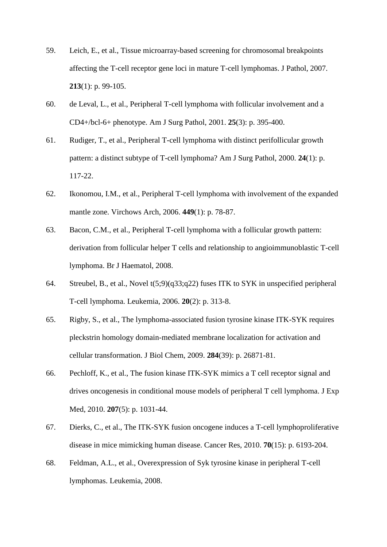- <span id="page-26-0"></span>59. Leich, E., et al., Tissue microarray-based screening for chromosomal breakpoints affecting the T-cell receptor gene loci in mature T-cell lymphomas. J Pathol, 2007. **213**(1): p. 99-105.
- <span id="page-26-1"></span>60. de Leval, L., et al., Peripheral T-cell lymphoma with follicular involvement and a CD4+/bcl-6+ phenotype. Am J Surg Pathol, 2001. **25**(3): p. 395-400.
- <span id="page-26-2"></span>61. Rudiger, T., et al., Peripheral T-cell lymphoma with distinct perifollicular growth pattern: a distinct subtype of T-cell lymphoma? Am J Surg Pathol, 2000. **24**(1): p. 117-22.
- <span id="page-26-3"></span>62. Ikonomou, I.M., et al., Peripheral T-cell lymphoma with involvement of the expanded mantle zone. Virchows Arch, 2006. **449**(1): p. 78-87.
- <span id="page-26-4"></span>63. Bacon, C.M., et al., Peripheral T-cell lymphoma with a follicular growth pattern: derivation from follicular helper T cells and relationship to angioimmunoblastic T-cell lymphoma. Br J Haematol, 2008.
- <span id="page-26-5"></span>64. Streubel, B., et al., Novel t(5;9)(q33;q22) fuses ITK to SYK in unspecified peripheral T-cell lymphoma. Leukemia, 2006. **20**(2): p. 313-8.
- <span id="page-26-6"></span>65. Rigby, S., et al., The lymphoma-associated fusion tyrosine kinase ITK-SYK requires pleckstrin homology domain-mediated membrane localization for activation and cellular transformation. J Biol Chem, 2009. **284**(39): p. 26871-81.
- <span id="page-26-7"></span>66. Pechloff, K., et al., The fusion kinase ITK-SYK mimics a T cell receptor signal and drives oncogenesis in conditional mouse models of peripheral T cell lymphoma. J Exp Med, 2010. **207**(5): p. 1031-44.
- 67. Dierks, C., et al., The ITK-SYK fusion oncogene induces a T-cell lymphoproliferative disease in mice mimicking human disease. Cancer Res, 2010. **70**(15): p. 6193-204.
- <span id="page-26-8"></span>68. Feldman, A.L., et al., Overexpression of Syk tyrosine kinase in peripheral T-cell lymphomas. Leukemia, 2008.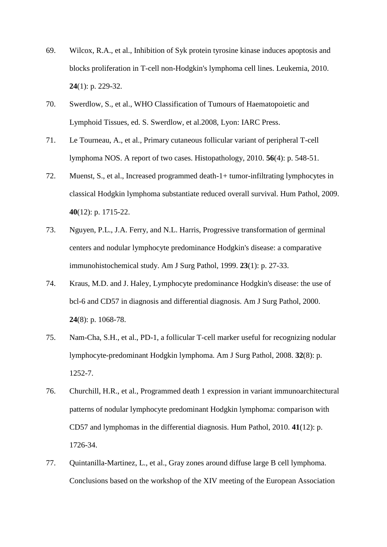- 69. Wilcox, R.A., et al., Inhibition of Syk protein tyrosine kinase induces apoptosis and blocks proliferation in T-cell non-Hodgkin's lymphoma cell lines. Leukemia, 2010. **24**(1): p. 229-32.
- <span id="page-27-1"></span><span id="page-27-0"></span>70. Swerdlow, S., et al., WHO Classification of Tumours of Haematopoietic and Lymphoid Tissues, ed. S. Swerdlow, et al.2008, Lyon: IARC Press.
- <span id="page-27-2"></span>71. Le Tourneau, A., et al., Primary cutaneous follicular variant of peripheral T-cell lymphoma NOS. A report of two cases. Histopathology, 2010. **56**(4): p. 548-51.
- 72. Muenst, S., et al., Increased programmed death-1+ tumor-infiltrating lymphocytes in classical Hodgkin lymphoma substantiate reduced overall survival. Hum Pathol, 2009. **40**(12): p. 1715-22.
- <span id="page-27-4"></span><span id="page-27-3"></span>73. Nguyen, P.L., J.A. Ferry, and N.L. Harris, Progressive transformation of germinal centers and nodular lymphocyte predominance Hodgkin's disease: a comparative immunohistochemical study. Am J Surg Pathol, 1999. **23**(1): p. 27-33.
- <span id="page-27-5"></span>74. Kraus, M.D. and J. Haley, Lymphocyte predominance Hodgkin's disease: the use of bcl-6 and CD57 in diagnosis and differential diagnosis. Am J Surg Pathol, 2000. **24**(8): p. 1068-78.
- 75. Nam-Cha, S.H., et al., PD-1, a follicular T-cell marker useful for recognizing nodular lymphocyte-predominant Hodgkin lymphoma. Am J Surg Pathol, 2008. **32**(8): p. 1252-7.
- 76. Churchill, H.R., et al., Programmed death 1 expression in variant immunoarchitectural patterns of nodular lymphocyte predominant Hodgkin lymphoma: comparison with CD57 and lymphomas in the differential diagnosis. Hum Pathol, 2010. **41**(12): p. 1726-34.
- 77. Quintanilla-Martinez, L., et al., Gray zones around diffuse large B cell lymphoma. Conclusions based on the workshop of the XIV meeting of the European Association